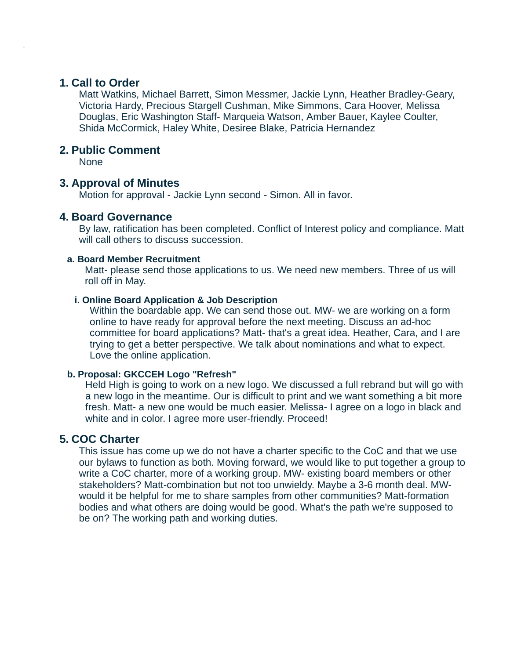## **1. Call to Order**

Matt Watkins, Michael Barrett, Simon Messmer, Jackie Lynn, Heather Bradley-Geary, Victoria Hardy, Precious Stargell Cushman, Mike Simmons, Cara Hoover, Melissa Douglas, Eric Washington Staff- Marqueia Watson, Amber Bauer, Kaylee Coulter, Shida McCormick, Haley White, Desiree Blake, Patricia Hernandez

# **2. Public Comment**

None

# **3. Approval of Minutes**

Motion for approval - Jackie Lynn second - Simon. All in favor.

# **4. Board Governance**

By law, ratification has been completed. Conflict of Interest policy and compliance. Matt will call others to discuss succession.

### **a. Board Member Recruitment**

Matt- please send those applications to us. We need new members. Three of us will roll off in May.

### **i. Online Board Application & Job Description**

Within the boardable app. We can send those out. MW- we are working on a form online to have ready for approval before the next meeting. Discuss an ad-hoc committee for board applications? Matt- that's a great idea. Heather, Cara, and I are trying to get a better perspective. We talk about nominations and what to expect. Love the online application.

### **b. Proposal: GKCCEH Logo "Refresh"**

Held High is going to work on a new logo. We discussed a full rebrand but will go with a new logo in the meantime. Our is difficult to print and we want something a bit more fresh. Matt- a new one would be much easier. Melissa- I agree on a logo in black and white and in color. I agree more user-friendly. Proceed!

# **5. COC Charter**

This issue has come up we do not have a charter specific to the CoC and that we use our bylaws to function as both. Moving forward, we would like to put together a group to write a CoC charter, more of a working group. MW- existing board members or other stakeholders? Matt-combination but not too unwieldy. Maybe a 3-6 month deal. MWwould it be helpful for me to share samples from other communities? Matt-formation bodies and what others are doing would be good. What's the path we're supposed to be on? The working path and working duties.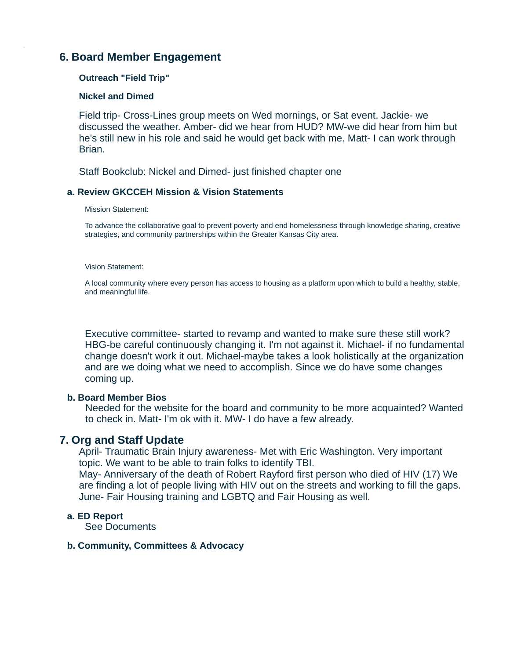# **6. Board Member Engagement**

### **Outreach "Field Trip"**

### **Nickel and Dimed**

Field trip- Cross-Lines group meets on Wed mornings, or Sat event. Jackie- we discussed the weather. Amber- did we hear from HUD? MW-we did hear from him but he's still new in his role and said he would get back with me. Matt- I can work through Brian.

Staff Bookclub: Nickel and Dimed- just finished chapter one

### **a. Review GKCCEH Mission & Vision Statements**

#### Mission Statement:

To advance the collaborative goal to prevent poverty and end homelessness through knowledge sharing, creative strategies, and community partnerships within the Greater Kansas City area.

#### Vision Statement:

A local community where every person has access to housing as a platform upon which to build a healthy, stable, and meaningful life.

Executive committee- started to revamp and wanted to make sure these still work? HBG-be careful continuously changing it. I'm not against it. Michael- if no fundamental change doesn't work it out. Michael-maybe takes a look holistically at the organization and are we doing what we need to accomplish. Since we do have some changes coming up.

### **b. Board Member Bios**

Needed for the website for the board and community to be more acquainted? Wanted to check in. Matt- I'm ok with it. MW- I do have a few already.

# **7. Org and Staff Update**

April- Traumatic Brain Injury awareness- Met with Eric Washington. Very important topic. We want to be able to train folks to identify TBI.

May- Anniversary of the death of Robert Rayford first person who died of HIV (17) We are finding a lot of people living with HIV out on the streets and working to fill the gaps. June- Fair Housing training and LGBTQ and Fair Housing as well.

### **a. ED Report**

See Documents

### **b. Community, Committees & Advocacy**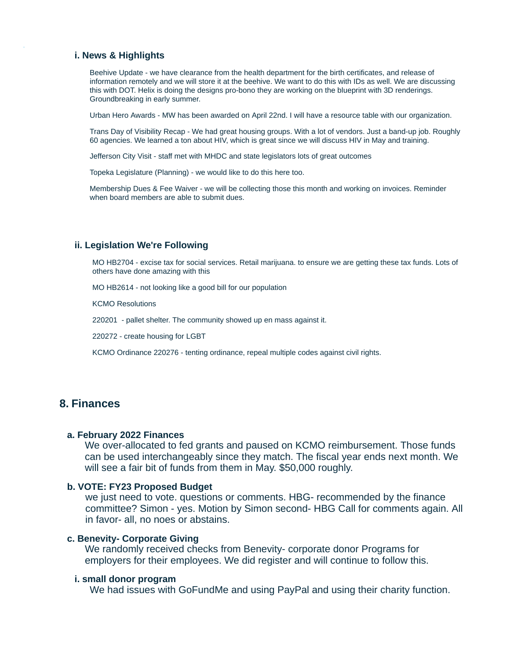#### **i. News & Highlights**

Beehive Update - we have clearance from the health department for the birth certificates, and release of information remotely and we will store it at the beehive. We want to do this with IDs as well. We are discussing this with DOT. Helix is doing the designs pro-bono they are working on the blueprint with 3D renderings. Groundbreaking in early summer.

Urban Hero Awards - MW has been awarded on April 22nd. I will have a resource table with our organization.

Trans Day of Visibility Recap - We had great housing groups. With a lot of vendors. Just a band-up job. Roughly 60 agencies. We learned a ton about HIV, which is great since we will discuss HIV in May and training.

Jefferson City Visit - staff met with MHDC and state legislators lots of great outcomes

Topeka Legislature (Planning) - we would like to do this here too.

Membership Dues & Fee Waiver - we will be collecting those this month and working on invoices. Reminder when board members are able to submit dues.

#### **ii. Legislation We're Following**

MO HB2704 - excise tax for social services. Retail marijuana. to ensure we are getting these tax funds. Lots of others have done amazing with this

MO HB2614 - not looking like a good bill for our population

KCMO Resolutions

220201 - pallet shelter. The community showed up en mass against it.

220272 - create housing for LGBT

KCMO Ordinance 220276 - tenting ordinance, repeal multiple codes against civil rights.

## **8. Finances**

#### **a. February 2022 Finances**

We over-allocated to fed grants and paused on KCMO reimbursement. Those funds can be used interchangeably since they match. The fiscal year ends next month. We will see a fair bit of funds from them in May. \$50,000 roughly.

#### **b. VOTE: FY23 Proposed Budget**

we just need to vote. questions or comments. HBG- recommended by the finance committee? Simon - yes. Motion by Simon second- HBG Call for comments again. All in favor- all, no noes or abstains.

#### **c. Benevity- Corporate Giving**

We randomly received checks from Benevity- corporate donor Programs for employers for their employees. We did register and will continue to follow this.

#### **i. small donor program**

We had issues with GoFundMe and using PayPal and using their charity function.